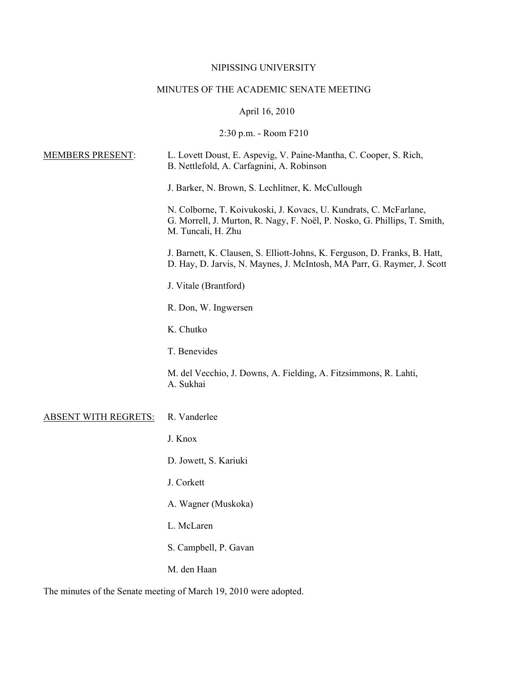## NIPISSING UNIVERSITY

## MINUTES OF THE ACADEMIC SENATE MEETING

# April 16, 2010

## 2:30 p.m. - Room F210

| <b>MEMBERS PRESENT:</b>     | L. Lovett Doust, E. Aspevig, V. Paine-Mantha, C. Cooper, S. Rich,<br>B. Nettlefold, A. Carfagnini, A. Robinson                                                       |
|-----------------------------|----------------------------------------------------------------------------------------------------------------------------------------------------------------------|
|                             | J. Barker, N. Brown, S. Lechlitner, K. McCullough                                                                                                                    |
|                             | N. Colborne, T. Koivukoski, J. Kovacs, U. Kundrats, C. McFarlane,<br>G. Morrell, J. Murton, R. Nagy, F. Noël, P. Nosko, G. Phillips, T. Smith,<br>M. Tuncali, H. Zhu |
|                             | J. Barnett, K. Clausen, S. Elliott-Johns, K. Ferguson, D. Franks, B. Hatt,<br>D. Hay, D. Jarvis, N. Maynes, J. McIntosh, MA Parr, G. Raymer, J. Scott                |
|                             | J. Vitale (Brantford)                                                                                                                                                |
|                             | R. Don, W. Ingwersen                                                                                                                                                 |
|                             | K. Chutko                                                                                                                                                            |
|                             | T. Benevides                                                                                                                                                         |
|                             | M. del Vecchio, J. Downs, A. Fielding, A. Fitzsimmons, R. Lahti,<br>A. Sukhai                                                                                        |
| <b>ABSENT WITH REGRETS:</b> | R. Vanderlee                                                                                                                                                         |
|                             | J. Knox                                                                                                                                                              |
|                             | D. Jowett, S. Kariuki                                                                                                                                                |
|                             | J. Corkett                                                                                                                                                           |
|                             | A. Wagner (Muskoka)                                                                                                                                                  |
|                             | L. McLaren                                                                                                                                                           |
|                             | S. Campbell, P. Gavan                                                                                                                                                |
|                             | M. den Haan                                                                                                                                                          |

The minutes of the Senate meeting of March 19, 2010 were adopted.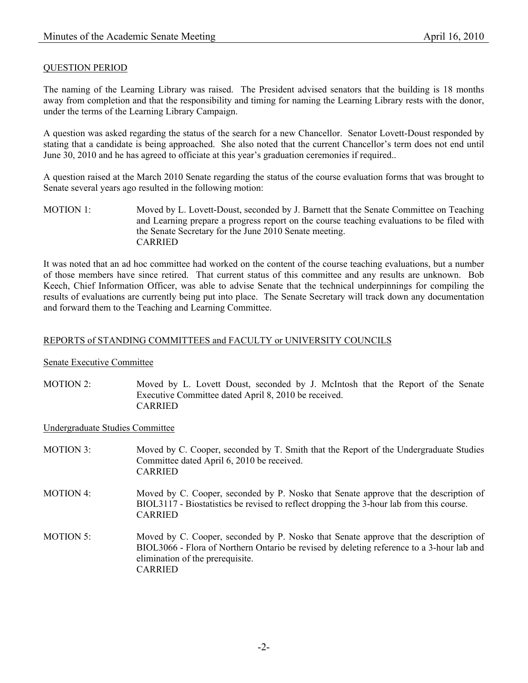### QUESTION PERIOD

The naming of the Learning Library was raised. The President advised senators that the building is 18 months away from completion and that the responsibility and timing for naming the Learning Library rests with the donor, under the terms of the Learning Library Campaign.

A question was asked regarding the status of the search for a new Chancellor. Senator Lovett-Doust responded by stating that a candidate is being approached. She also noted that the current Chancellor's term does not end until June 30, 2010 and he has agreed to officiate at this year's graduation ceremonies if required..

A question raised at the March 2010 Senate regarding the status of the course evaluation forms that was brought to Senate several years ago resulted in the following motion:

MOTION 1: Moved by L. Lovett-Doust, seconded by J. Barnett that the Senate Committee on Teaching and Learning prepare a progress report on the course teaching evaluations to be filed with the Senate Secretary for the June 2010 Senate meeting. CARRIED

It was noted that an ad hoc committee had worked on the content of the course teaching evaluations, but a number of those members have since retired. That current status of this committee and any results are unknown. Bob Keech, Chief Information Officer, was able to advise Senate that the technical underpinnings for compiling the results of evaluations are currently being put into place. The Senate Secretary will track down any documentation and forward them to the Teaching and Learning Committee.

#### REPORTS of STANDING COMMITTEES and FACULTY or UNIVERSITY COUNCILS

#### Senate Executive Committee

MOTION 2: Moved by L. Lovett Doust, seconded by J. McIntosh that the Report of the Senate Executive Committee dated April 8, 2010 be received. CARRIED

#### Undergraduate Studies Committee

- MOTION 3: Moved by C. Cooper, seconded by T. Smith that the Report of the Undergraduate Studies Committee dated April 6, 2010 be received. CARRIED
- MOTION 4: Moved by C. Cooper, seconded by P. Nosko that Senate approve that the description of BIOL3117 - Biostatistics be revised to reflect dropping the 3-hour lab from this course. CARRIED
- MOTION 5: Moved by C. Cooper, seconded by P. Nosko that Senate approve that the description of BIOL3066 - Flora of Northern Ontario be revised by deleting reference to a 3-hour lab and elimination of the prerequisite. CARRIED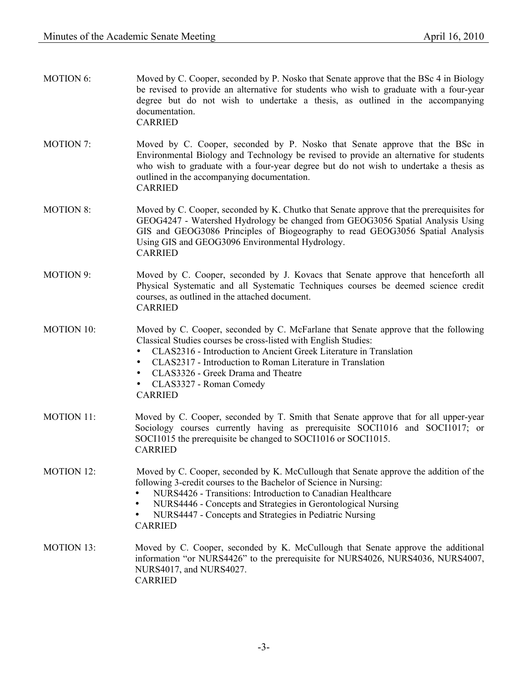| <b>MOTION 6:</b>  | Moved by C. Cooper, seconded by P. Nosko that Senate approve that the BSc 4 in Biology<br>be revised to provide an alternative for students who wish to graduate with a four-year<br>degree but do not wish to undertake a thesis, as outlined in the accompanying<br>documentation.<br><b>CARRIED</b>                                                                                               |
|-------------------|------------------------------------------------------------------------------------------------------------------------------------------------------------------------------------------------------------------------------------------------------------------------------------------------------------------------------------------------------------------------------------------------------|
| <b>MOTION 7:</b>  | Moved by C. Cooper, seconded by P. Nosko that Senate approve that the BSc in<br>Environmental Biology and Technology be revised to provide an alternative for students<br>who wish to graduate with a four-year degree but do not wish to undertake a thesis as<br>outlined in the accompanying documentation.<br><b>CARRIED</b>                                                                     |
| <b>MOTION 8:</b>  | Moved by C. Cooper, seconded by K. Chutko that Senate approve that the prerequisites for<br>GEOG4247 - Watershed Hydrology be changed from GEOG3056 Spatial Analysis Using<br>GIS and GEOG3086 Principles of Biogeography to read GEOG3056 Spatial Analysis<br>Using GIS and GEOG3096 Environmental Hydrology.<br><b>CARRIED</b>                                                                     |
| MOTION 9:         | Moved by C. Cooper, seconded by J. Kovacs that Senate approve that henceforth all<br>Physical Systematic and all Systematic Techniques courses be deemed science credit<br>courses, as outlined in the attached document.<br><b>CARRIED</b>                                                                                                                                                          |
| <b>MOTION 10:</b> | Moved by C. Cooper, seconded by C. McFarlane that Senate approve that the following<br>Classical Studies courses be cross-listed with English Studies:<br>CLAS2316 - Introduction to Ancient Greek Literature in Translation<br>٠<br>CLAS2317 - Introduction to Roman Literature in Translation<br>$\bullet$<br>CLAS3326 - Greek Drama and Theatre<br>٠<br>CLAS3327 - Roman Comedy<br><b>CARRIED</b> |
| <b>MOTION 11:</b> | Moved by C. Cooper, seconded by T. Smith that Senate approve that for all upper-year<br>Sociology courses currently having as prerequisite SOCI1016 and SOCI1017; or<br>SOCI1015 the prerequisite be changed to SOCI1016 or SOCI1015.<br><b>CARRIED</b>                                                                                                                                              |
| <b>MOTION 12:</b> | Moved by C. Cooper, seconded by K. McCullough that Senate approve the addition of the<br>following 3-credit courses to the Bachelor of Science in Nursing:<br>NURS4426 - Transitions: Introduction to Canadian Healthcare<br>NURS4446 - Concepts and Strategies in Gerontological Nursing<br>٠<br>NURS4447 - Concepts and Strategies in Pediatric Nursing<br>٠<br><b>CARRIED</b>                     |
| <b>MOTION 13:</b> | Moved by C. Cooper, seconded by K. McCullough that Senate approve the additional<br>information "or NURS4426" to the prerequisite for NURS4026, NURS4036, NURS4007,<br>NURS4017, and NURS4027.                                                                                                                                                                                                       |

CARRIED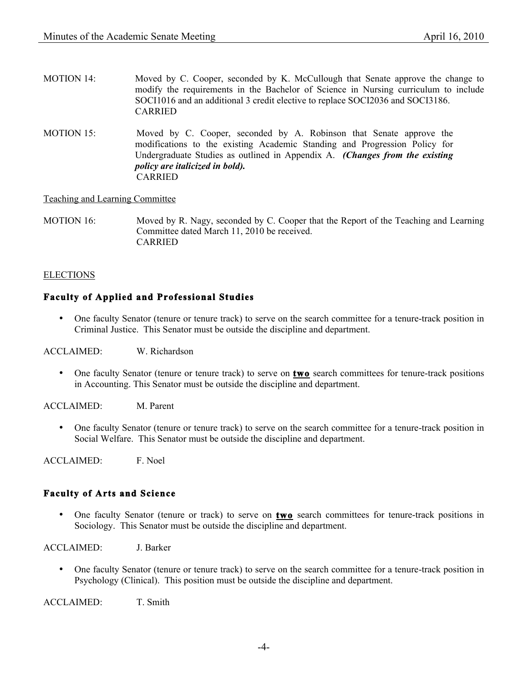- MOTION 14: Moved by C. Cooper, seconded by K. McCullough that Senate approve the change to modify the requirements in the Bachelor of Science in Nursing curriculum to include SOCI1016 and an additional 3 credit elective to replace SOCI2036 and SOCI3186. CARRIED
- MOTION 15: Moved by C. Cooper, seconded by A. Robinson that Senate approve the modifications to the existing Academic Standing and Progression Policy for Undergraduate Studies as outlined in Appendix A. *(Changes from the existing policy are italicized in bold).* **CARRIED**

Teaching and Learning Committee

MOTION 16: Moved by R. Nagy, seconded by C. Cooper that the Report of the Teaching and Learning Committee dated March 11, 2010 be received. CARRIED

## **ELECTIONS**

## **Faculty of Applied and Professional Studies**

• One faculty Senator (tenure or tenure track) to serve on the search committee for a tenure-track position in Criminal Justice. This Senator must be outside the discipline and department.

ACCLAIMED: W. Richardson

• One faculty Senator (tenure or tenure track) to serve on **two** search committees for tenure-track positions in Accounting. This Senator must be outside the discipline and department.

ACCLAIMED: M. Parent

• One faculty Senator (tenure or tenure track) to serve on the search committee for a tenure-track position in Social Welfare. This Senator must be outside the discipline and department.

ACCLAIMED: F. Noel

## **Faculty of Arts and Science**

• One faculty Senator (tenure or track) to serve on **two** search committees for tenure-track positions in Sociology. This Senator must be outside the discipline and department.

ACCLAIMED: J. Barker

• One faculty Senator (tenure or tenure track) to serve on the search committee for a tenure-track position in Psychology (Clinical). This position must be outside the discipline and department.

ACCLAIMED: T. Smith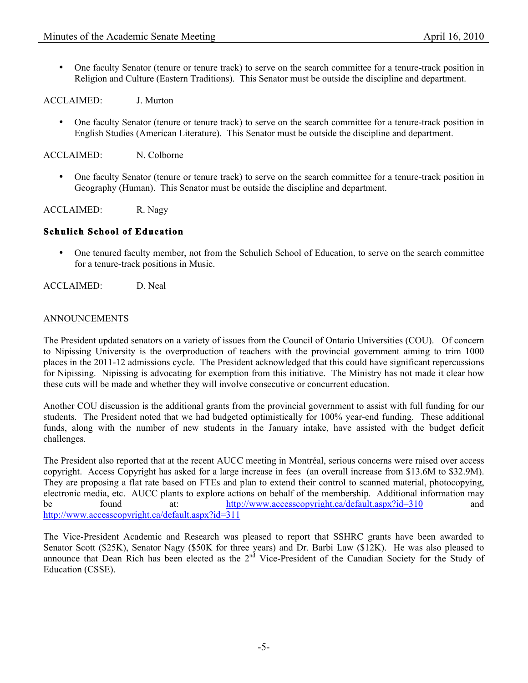• One faculty Senator (tenure or tenure track) to serve on the search committee for a tenure-track position in Religion and Culture (Eastern Traditions). This Senator must be outside the discipline and department.

ACCLAIMED: J. Murton

• One faculty Senator (tenure or tenure track) to serve on the search committee for a tenure-track position in English Studies (American Literature). This Senator must be outside the discipline and department.

ACCLAIMED: N. Colborne

• One faculty Senator (tenure or tenure track) to serve on the search committee for a tenure-track position in Geography (Human). This Senator must be outside the discipline and department.

ACCLAIMED: R. Nagy

### **Schulich School of Education**

• One tenured faculty member, not from the Schulich School of Education, to serve on the search committee for a tenure-track positions in Music.

ACCLAIMED: D. Neal

#### ANNOUNCEMENTS

The President updated senators on a variety of issues from the Council of Ontario Universities (COU). Of concern to Nipissing University is the overproduction of teachers with the provincial government aiming to trim 1000 places in the 2011-12 admissions cycle. The President acknowledged that this could have significant repercussions for Nipissing. Nipissing is advocating for exemption from this initiative. The Ministry has not made it clear how these cuts will be made and whether they will involve consecutive or concurrent education.

Another COU discussion is the additional grants from the provincial government to assist with full funding for our students. The President noted that we had budgeted optimistically for 100% year-end funding. These additional funds, along with the number of new students in the January intake, have assisted with the budget deficit challenges.

The President also reported that at the recent AUCC meeting in Montréal, serious concerns were raised over access copyright. Access Copyright has asked for a large increase in fees (an overall increase from \$13.6M to \$32.9M). They are proposing a flat rate based on FTEs and plan to extend their control to scanned material, photocopying, electronic media, etc. AUCC plants to explore actions on behalf of the membership. Additional information may be found at: http://www.accesscopyright.ca/default.aspx?id=310 and http://www.accesscopyright.ca/default.aspx?id=311

The Vice-President Academic and Research was pleased to report that SSHRC grants have been awarded to Senator Scott (\$25K), Senator Nagy (\$50K for three years) and Dr. Barbi Law (\$12K). He was also pleased to announce that Dean Rich has been elected as the 2<sup>nd</sup> Vice-President of the Canadian Society for the Study of Education (CSSE).